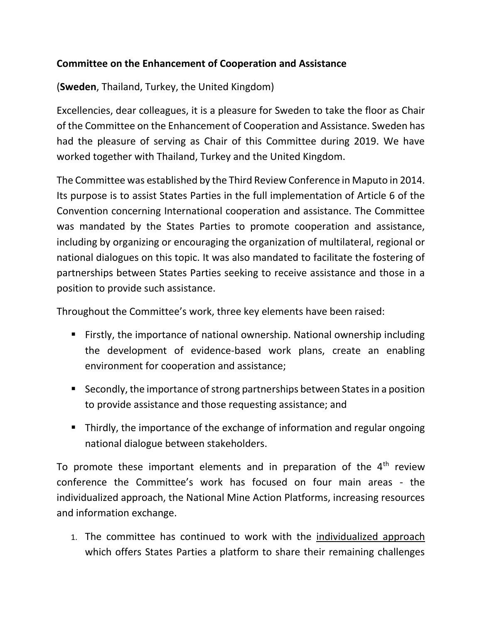## **Committee on the Enhancement of Cooperation and Assistance**

(**Sweden**, Thailand, Turkey, the United Kingdom)

Excellencies, dear colleagues, it is a pleasure for Sweden to take the floor as Chair of the Committee on the Enhancement of Cooperation and Assistance. Sweden has had the pleasure of serving as Chair of this Committee during 2019. We have worked together with Thailand, Turkey and the United Kingdom.

The Committee was established by the Third Review Conference in Maputo in 2014. Its purpose is to assist States Parties in the full implementation of Article 6 of the Convention concerning International cooperation and assistance. The Committee was mandated by the States Parties to promote cooperation and assistance, including by organizing or encouraging the organization of multilateral, regional or national dialogues on this topic. It was also mandated to facilitate the fostering of partnerships between States Parties seeking to receive assistance and those in a position to provide such assistance.

Throughout the Committee's work, three key elements have been raised:

- Firstly, the importance of national ownership. National ownership including the development of evidence-based work plans, create an enabling environment for cooperation and assistance;
- Secondly, the importance of strong partnerships between States in a position to provide assistance and those requesting assistance; and
- Thirdly, the importance of the exchange of information and regular ongoing national dialogue between stakeholders.

To promote these important elements and in preparation of the  $4<sup>th</sup>$  review conference the Committee's work has focused on four main areas - the individualized approach, the National Mine Action Platforms, increasing resources and information exchange.

1. The committee has continued to work with the individualized approach which offers States Parties a platform to share their remaining challenges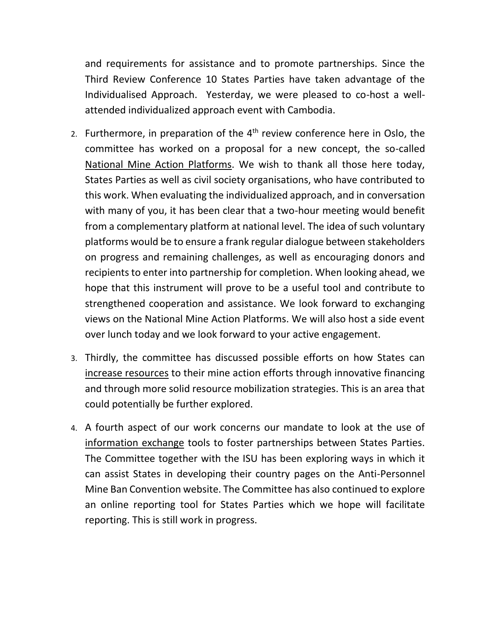and requirements for assistance and to promote partnerships. Since the Third Review Conference 10 States Parties have taken advantage of the Individualised Approach. Yesterday, we were pleased to co-host a wellattended individualized approach event with Cambodia.

- 2. Furthermore, in preparation of the  $4<sup>th</sup>$  review conference here in Oslo, the committee has worked on a proposal for a new concept, the so-called National Mine Action Platforms. We wish to thank all those here today, States Parties as well as civil society organisations, who have contributed to this work. When evaluating the individualized approach, and in conversation with many of you, it has been clear that a two-hour meeting would benefit from a complementary platform at national level. The idea of such voluntary platforms would be to ensure a frank regular dialogue between stakeholders on progress and remaining challenges, as well as encouraging donors and recipients to enter into partnership for completion. When looking ahead, we hope that this instrument will prove to be a useful tool and contribute to strengthened cooperation and assistance. We look forward to exchanging views on the National Mine Action Platforms. We will also host a side event over lunch today and we look forward to your active engagement.
- 3. Thirdly, the committee has discussed possible efforts on how States can increase resources to their mine action efforts through innovative financing and through more solid resource mobilization strategies. This is an area that could potentially be further explored.
- 4. A fourth aspect of our work concerns our mandate to look at the use of information exchange tools to foster partnerships between States Parties. The Committee together with the ISU has been exploring ways in which it can assist States in developing their country pages on the Anti-Personnel Mine Ban Convention website. The Committee has also continued to explore an online reporting tool for States Parties which we hope will facilitate reporting. This is still work in progress.